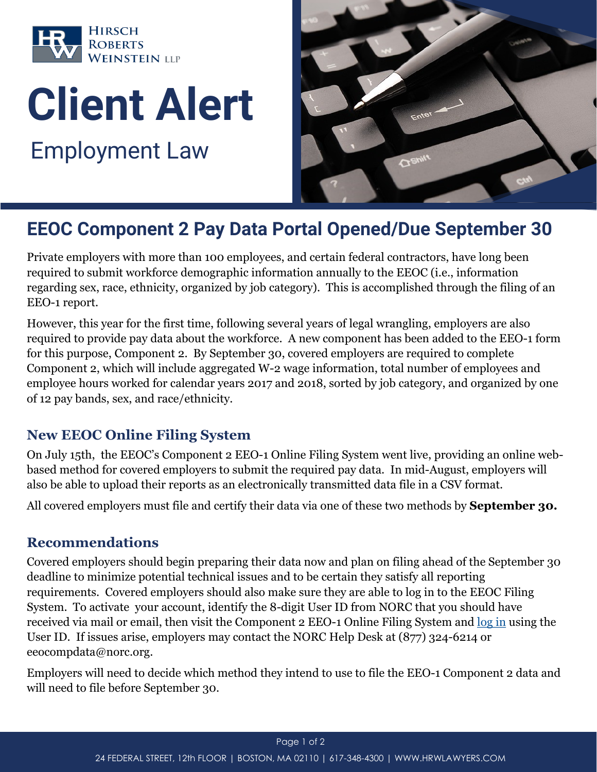

# **Client Alert** Employment Law



# **EEOC Component 2 Pay Data Portal Opened/Due September 30**

Private employers with more than 100 employees, and certain federal contractors, have long been required to submit workforce demographic information annually to the EEOC (i.e., information regarding sex, race, ethnicity, organized by job category). This is accomplished through the filing of an EEO-1 report.

However, this year for the first time, following several years of legal wrangling, employers are also required to provide pay data about the workforce. A new component has been added to the EEO-1 form for this purpose, Component 2. By September 30, covered employers are required to complete Component 2, which will include aggregated W-2 wage information, total number of employees and employee hours worked for calendar years 2017 and 2018, sorted by job category, and organized by one of 12 pay bands, sex, and race/ethnicity.

# **New EEOC Online Filing System**

On July 15th, the EEOC's Component 2 EEO-1 Online Filing System went live, providing an online webbased method for covered employers to submit the required pay data. In mid-August, employers will also be able to upload their reports as an electronically transmitted data file in a CSV format.

All covered employers must file and certify their data via one of these two methods by **September 30.**

#### **Recommendations**

Covered employers should begin preparing their data now and plan on filing ahead of the September 30 deadline to minimize potential technical issues and to be certain they satisfy all reporting requirements. Covered employers should also make sure they are able to log in to the EEOC Filing System. To activate your account, identify the 8-digit User ID from NORC that you should have received via mail or email, then visit the Component 2 EEO-1 Online Filing System and [log in](https://eeoccomp2.norc.org/Login) using the User ID. If issues arise, employers may contact the NORC Help Desk at (877) 324-6214 or eeocompdata@norc.org.

Employers will need to decide which method they intend to use to file the EEO-1 Component 2 data and will need to file before September 30.